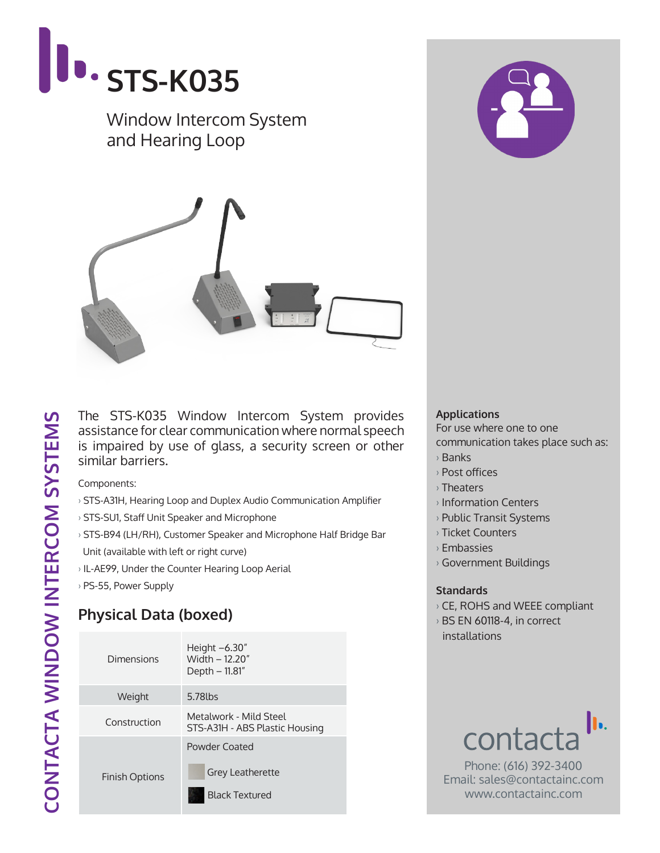

The STS-K035 Window Intercom System provides assistance for clear communication where normal speech is impaired by use of glass, a security screen or other similar barriers.

Components:

- › STS-A31H, Hearing Loop and Duplex Audio Communication Amplifier
- › STS-SU1, Staff Unit Speaker and Microphone
- › STS-B94 (LH/RH), Customer Speaker and Microphone Half Bridge Bar Unit (available with left or right curve)
- › IL-AE99, Under the Counter Hearing Loop Aerial
- › PS-55, Power Supply

## **Physical Data (boxed)**

| Dimensions            | Height $-6.30''$<br>Width - 12.20"<br>Depth – 11.81"              |  |
|-----------------------|-------------------------------------------------------------------|--|
| Weight                | 5.78lbs                                                           |  |
| Construction          | Metalwork - Mild Steel<br>STS-A31H - ABS Plastic Housing          |  |
| <b>Finish Options</b> | Powder Coated<br><b>Grey Leatherette</b><br><b>Black Textured</b> |  |

## **Applications**

For use where one to one

- communication takes place such as:
- › Banks
- › Post offices
- › Theaters
- › Information Centers
- › Public Transit Systems
- › Ticket Counters
- › Embassies
- › Government Buildings

## **Standards**

- › CE, ROHS and WEEE compliant
- › BS EN 60118-4, in correct installations



Phone: (616) 392-3400 Email: sales@contactainc.com www.contactainc.com